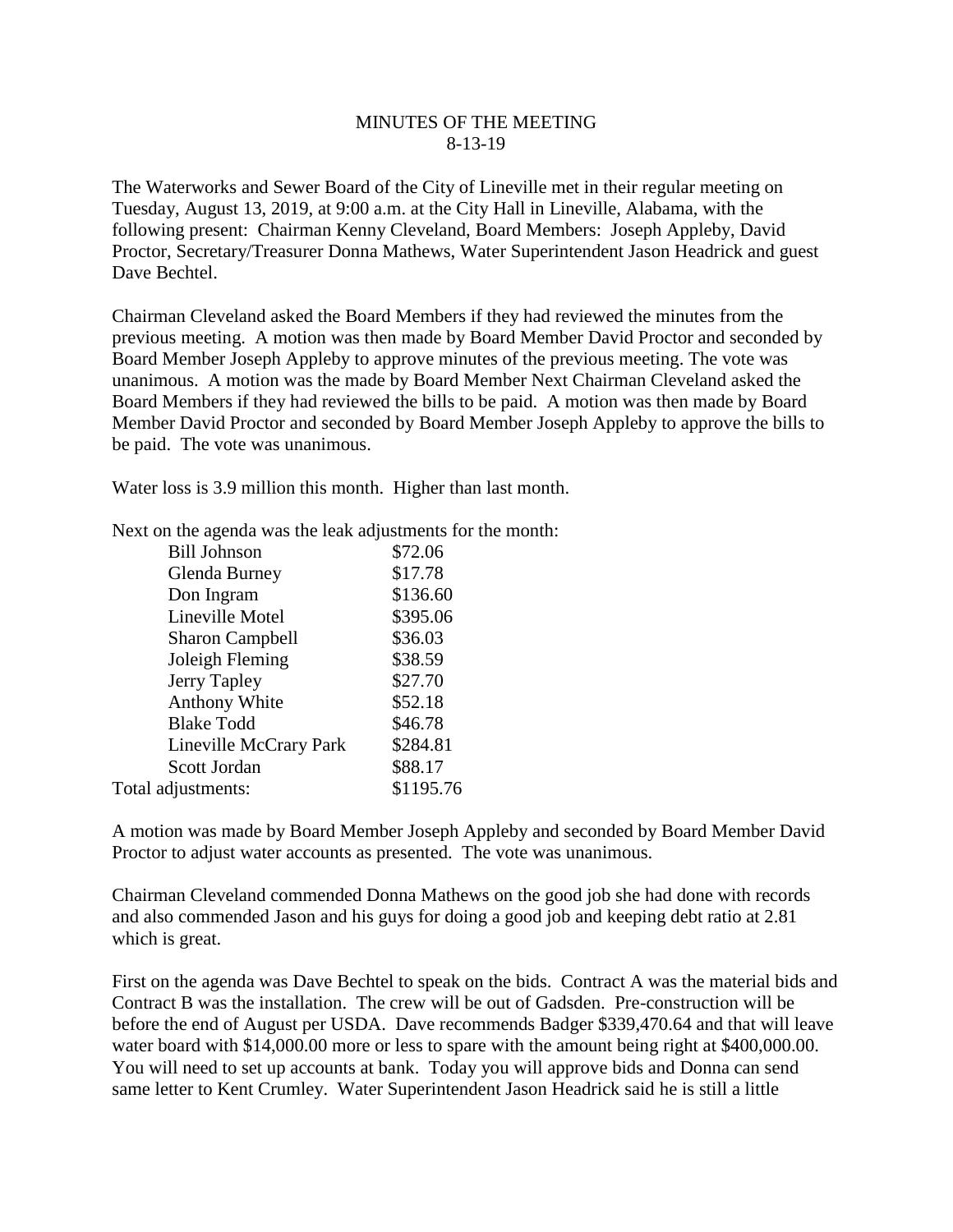## MINUTES OF THE MEETING 8-13-19

The Waterworks and Sewer Board of the City of Lineville met in their regular meeting on Tuesday, August 13, 2019, at 9:00 a.m. at the City Hall in Lineville, Alabama, with the following present: Chairman Kenny Cleveland, Board Members: Joseph Appleby, David Proctor, Secretary/Treasurer Donna Mathews, Water Superintendent Jason Headrick and guest Dave Bechtel.

Chairman Cleveland asked the Board Members if they had reviewed the minutes from the previous meeting. A motion was then made by Board Member David Proctor and seconded by Board Member Joseph Appleby to approve minutes of the previous meeting. The vote was unanimous. A motion was the made by Board Member Next Chairman Cleveland asked the Board Members if they had reviewed the bills to be paid. A motion was then made by Board Member David Proctor and seconded by Board Member Joseph Appleby to approve the bills to be paid. The vote was unanimous.

Water loss is 3.9 million this month. Higher than last month.

| <b>Bill Johnson</b>    | \$72.06   |
|------------------------|-----------|
| Glenda Burney          | \$17.78   |
| Don Ingram             | \$136.60  |
| Lineville Motel        | \$395.06  |
| <b>Sharon Campbell</b> | \$36.03   |
| Joleigh Fleming        | \$38.59   |
| Jerry Tapley           | \$27.70   |
| <b>Anthony White</b>   | \$52.18   |
| <b>Blake Todd</b>      | \$46.78   |
| Lineville McCrary Park | \$284.81  |
| Scott Jordan           | \$88.17   |
| Total adjustments:     | \$1195.76 |

Next on the agenda was the leak adjustments for the month:

A motion was made by Board Member Joseph Appleby and seconded by Board Member David Proctor to adjust water accounts as presented. The vote was unanimous.

Chairman Cleveland commended Donna Mathews on the good job she had done with records and also commended Jason and his guys for doing a good job and keeping debt ratio at 2.81 which is great.

First on the agenda was Dave Bechtel to speak on the bids. Contract A was the material bids and Contract B was the installation. The crew will be out of Gadsden. Pre-construction will be before the end of August per USDA. Dave recommends Badger \$339,470.64 and that will leave water board with \$14,000.00 more or less to spare with the amount being right at \$400,000.00. You will need to set up accounts at bank. Today you will approve bids and Donna can send same letter to Kent Crumley. Water Superintendent Jason Headrick said he is still a little